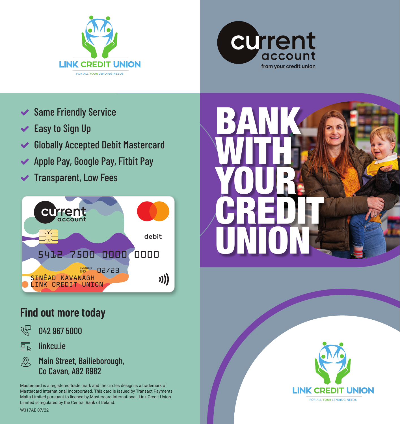



- **◆ Same Friendly Service**
- $\blacktriangleright$  Easy to Sign Up
- Globally Accepted Debit Mastercard
- ◆ Apple Pay, Google Pay, Fitbit Pay
- $\blacktriangleright$  Transparent, Low Fees



### **Find out more today**

- 心<br>《 042 967 5000
- 巨 linkcu.ie
- $\mathcal{R}$ Main Street, Bailieborough, Co Cavan, A82 R982

Mastercard is a registered trade mark and the circles design is a trademark of Mastercard International Incorporated. This card is issued by Transact Payments Malta Limited pursuant to licence by Mastercard International. Link Credit Union Limited is regulated by the Central Bank of Ireland.

BANK WITH **N** YOUR **CREDIT** UNION